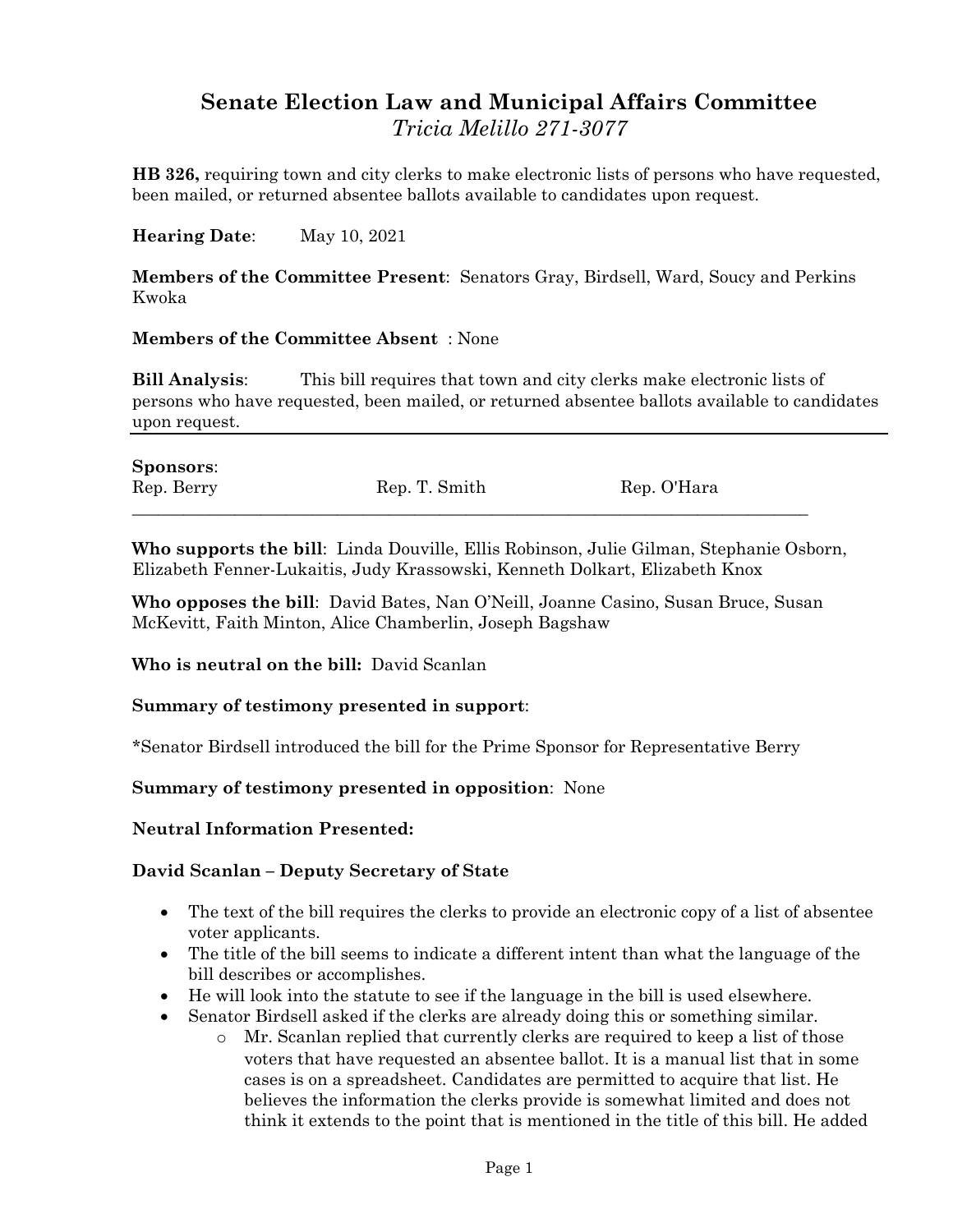## **Senate Election Law and Municipal Affairs Committee** *Tricia Melillo 271-3077*

**HB 326,** requiring town and city clerks to make electronic lists of persons who have requested, been mailed, or returned absentee ballots available to candidates upon request.

**Hearing Date**: May 10, 2021

**Members of the Committee Present**: Senators Gray, Birdsell, Ward, Soucy and Perkins Kwoka

## **Members of the Committee Absent** : None

**Bill Analysis**: This bill requires that town and city clerks make electronic lists of persons who have requested, been mailed, or returned absentee ballots available to candidates upon request.

| <b>Sponsors:</b> |               |             |
|------------------|---------------|-------------|
| Rep. Berry       | Rep. T. Smith | Rep. O'Hara |
|                  |               |             |

**Who supports the bill**: Linda Douville, Ellis Robinson, Julie Gilman, Stephanie Osborn, Elizabeth Fenner-Lukaitis, Judy Krassowski, Kenneth Dolkart, Elizabeth Knox

**Who opposes the bill**: David Bates, Nan O'Neill, Joanne Casino, Susan Bruce, Susan McKevitt, Faith Minton, Alice Chamberlin, Joseph Bagshaw

**Who is neutral on the bill:** David Scanlan

## **Summary of testimony presented in support**:

\*Senator Birdsell introduced the bill for the Prime Sponsor for Representative Berry

**Summary of testimony presented in opposition**: None

**Neutral Information Presented:**

## **David Scanlan – Deputy Secretary of State**

- The text of the bill requires the clerks to provide an electronic copy of a list of absentee voter applicants.
- The title of the bill seems to indicate a different intent than what the language of the bill describes or accomplishes.
- He will look into the statute to see if the language in the bill is used elsewhere.
- Senator Birdsell asked if the clerks are already doing this or something similar.
	- o Mr. Scanlan replied that currently clerks are required to keep a list of those voters that have requested an absentee ballot. It is a manual list that in some cases is on a spreadsheet. Candidates are permitted to acquire that list. He believes the information the clerks provide is somewhat limited and does not think it extends to the point that is mentioned in the title of this bill. He added